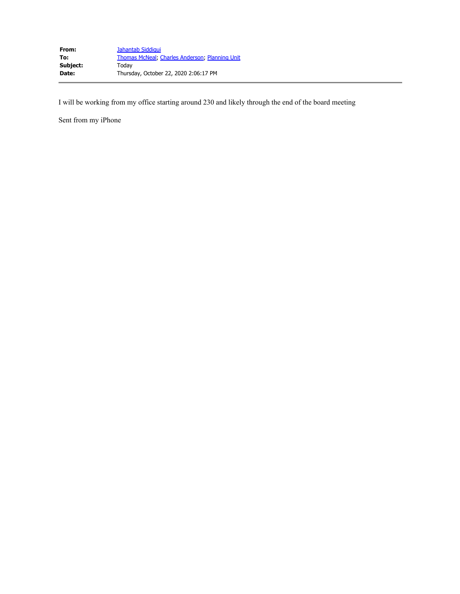I will be working from my office starting around 230 and likely through the end of the board meeting

Sent from my iPhone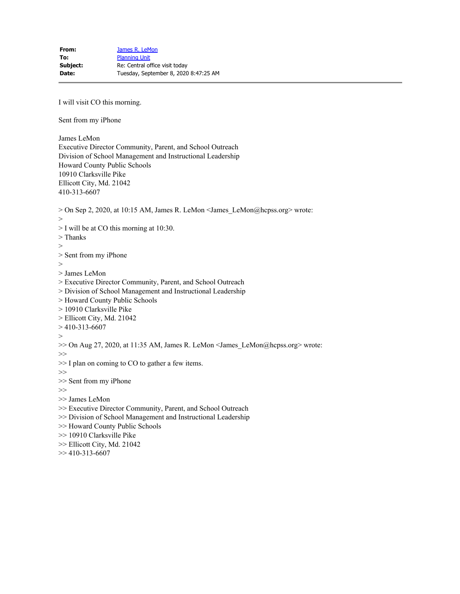I will visit CO this morning.

Sent from my iPhone

James LeMon Executive Director Community, Parent, and School Outreach Division of School Management and Instructional Leadership Howard County Public Schools 10910 Clarksville Pike Ellicott City, Md. 21042 410-313-6607

> On Sep 2, 2020, at 10:15 AM, James R. LeMon <James\_LeMon@hcpss.org> wrote:

 $\rm{>}$ 

> I will be at CO this morning at 10:30.

- > Thanks
- >

> Sent from my iPhone

- >
- > James LeMon

> Executive Director Community, Parent, and School Outreach

- > Division of School Management and Instructional Leadership
- > Howard County Public Schools
- > 10910 Clarksville Pike
- > Ellicott City, Md. 21042
- $> 410 313 6607$
- $>$
- >> On Aug 27, 2020, at 11:35 AM, James R. LeMon <James\_LeMon@hcpss.org> wrote:
- $>\gt$
- >> I plan on coming to CO to gather a few items.
- >>
- >> Sent from my iPhone

>>

- >> James LeMon
- >> Executive Director Community, Parent, and School Outreach
- >> Division of School Management and Instructional Leadership
- >> Howard County Public Schools
- >> 10910 Clarksville Pike
- >> Ellicott City, Md. 21042
- $>> 410 313 6607$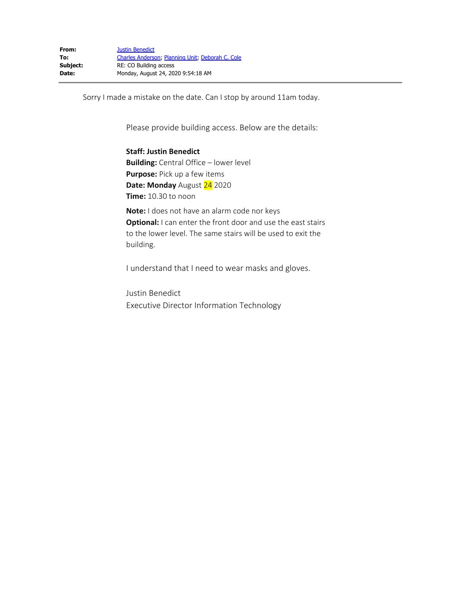Sorry I made a mistake on the date. Can I stop by around 11am today.

Please provide building access. Below are the details:

**Staff: Justin Benedict Building:** Central Office – lower level **Purpose:** Pick up a few items **Date: Monday** August 24 2020 **Time:** 10.30 to noon

**Note:** I does not have an alarm code nor keys **Optional:** I can enter the front door and use the east stairs to the lower level. The same stairs will be used to exit the building.

I understand that I need to wear masks and gloves.

Justin Benedict Executive Director Information Technology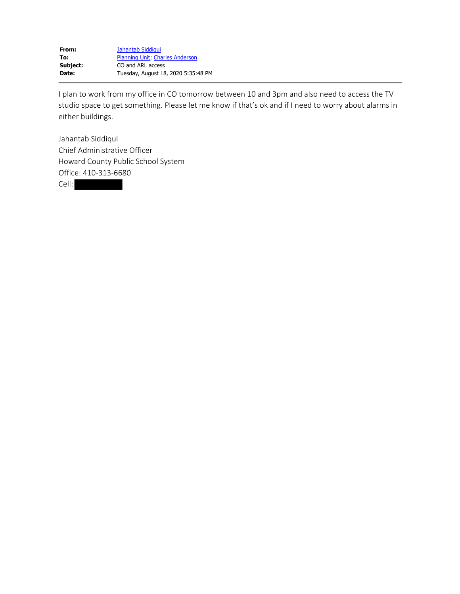I plan to work from my office in CO tomorrow between 10 and 3pm and also need to access the TV studio space to get something. Please let me know if that's ok and if I need to worry about alarms in either buildings.

Jahantab Siddiqui Chief Administrative Officer Howard County Public School System Office: 410-313-6680 Cell: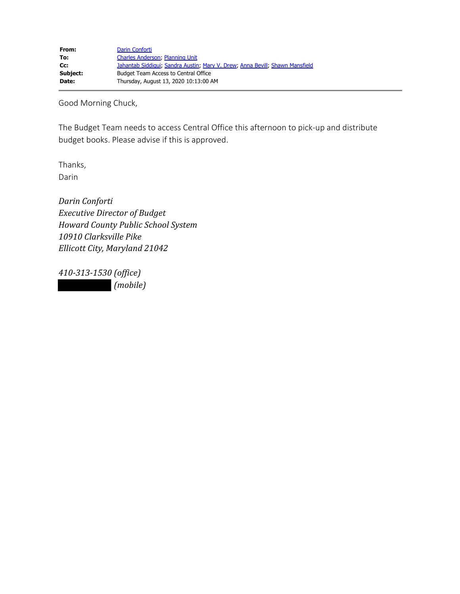Good Morning Chuck,

The Budget Team needs to access Central Office this afternoon to pick-up and distribute budget books. Please advise if this is approved.

Thanks, Darin

*Darin Conforti Executive Director of Budget Howard County Public School System 10910 Clarksville Pike Ellicott City, Maryland 21042*

*410-313-1530 (office) (mobile)*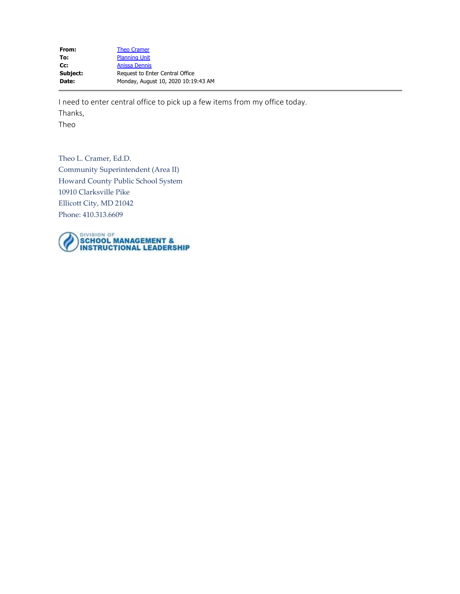| <b>Theo Cramer</b>                  |
|-------------------------------------|
| <b>Planning Unit</b>                |
| <b>Anissa Dennis</b>                |
| Request to Enter Central Office     |
| Monday, August 10, 2020 10:19:43 AM |
|                                     |

I need to enter central office to pick up a few items from my office today.

Thanks,

Theo

Theo L. Cramer, Ed.D. Community Superintendent (Area II) Howard County Public School System 10910 Clarksville Pike Ellicott City, MD 21042 Phone: 410.313.6609

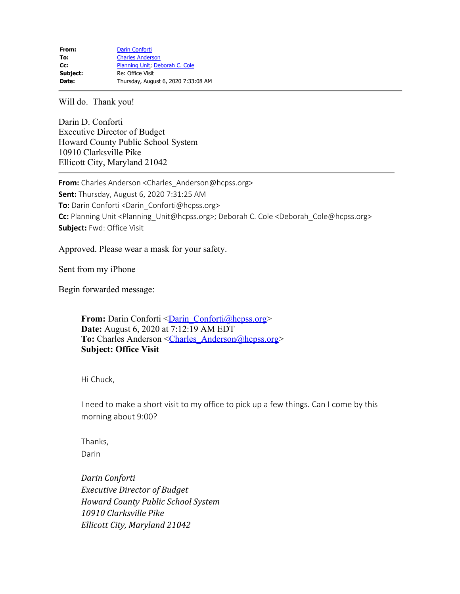Will do. Thank you!

Darin D. Conforti Executive Director of Budget Howard County Public School System 10910 Clarksville Pike Ellicott City, Maryland 21042

**From:** Charles Anderson <Charles\_Anderson@hcpss.org> **Sent:** Thursday, August 6, 2020 7:31:25 AM **To:** Darin Conforti <Darin\_Conforti@hcpss.org> **Cc:** Planning Unit <Planning\_Unit@hcpss.org>; Deborah C. Cole <Deborah\_Cole@hcpss.org> **Subject:** Fwd: Office Visit

Approved. Please wear a mask for your safety.

Sent from my iPhone

Begin forwarded message:

**From:** Darin Conforti <Darin Conforti@hcpss.org> **Date:** August 6, 2020 at 7:12:19 AM EDT To: Charles Anderson <Charles\_Anderson@hcpss.org> **Subject: Office Visit**

Hi Chuck,

I need to make a short visit to my office to pick up a few things. Can I come by this morning about 9:00?

Thanks, Darin

*Darin Conforti Executive Director of Budget Howard County Public School System 10910 Clarksville Pike Ellicott City, Maryland 21042*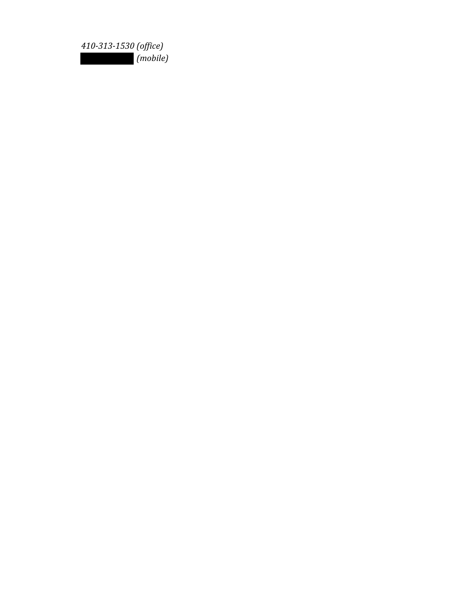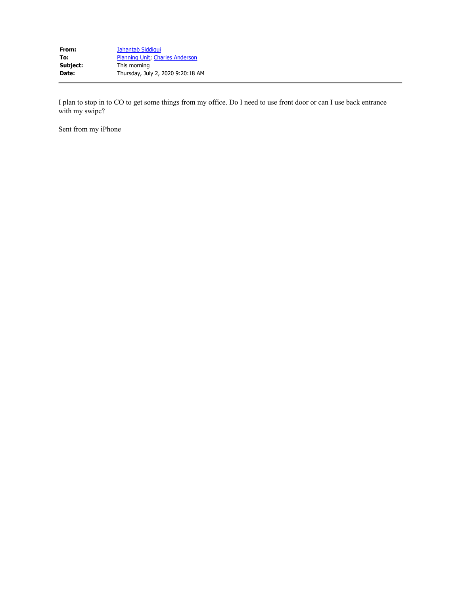I plan to stop in to CO to get some things from my office. Do I need to use front door or can I use back entrance with my swipe?

Sent from my iPhone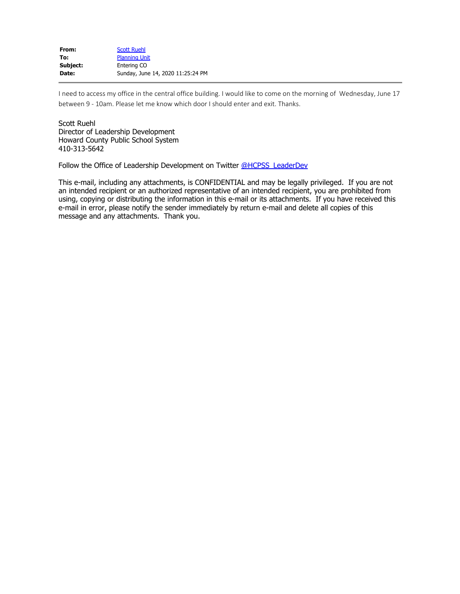| From:    | <b>Scott Ruehl</b>                |
|----------|-----------------------------------|
| To:      | <b>Planning Unit</b>              |
| Subject: | Entering CO                       |
| Date:    | Sunday, June 14, 2020 11:25:24 PM |

I need to access my office in the central office building. I would like to come on the morning of Wednesday, June 17 between 9 - 10am. Please let me know which door I should enter and exit. Thanks.

Scott Ruehl Director of Leadership Development Howard County Public School System 410-313-5642

Follow the Office of Leadership Development on Twitter @HCPSS LeaderDev

This e-mail, including any attachments, is CONFIDENTIAL and may be legally privileged. If you are not an intended recipient or an authorized representative of an intended recipient, you are prohibited from using, copying or distributing the information in this e-mail or its attachments. If you have received this e-mail in error, please notify the sender immediately by return e-mail and delete all copies of this message and any attachments. Thank you.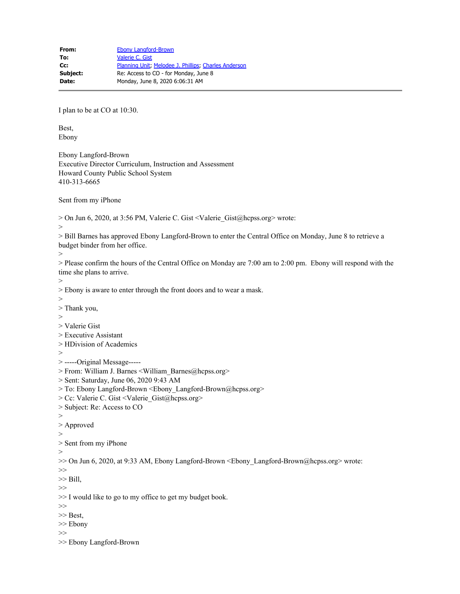I plan to be at CO at 10:30.

Best, Ebony

Ebony Langford-Brown Executive Director Curriculum, Instruction and Assessment Howard County Public School System 410-313-6665

Sent from my iPhone

> On Jun 6, 2020, at 3:56 PM, Valerie C. Gist <Valerie\_Gist@hcpss.org> wrote:

>

> Bill Barnes has approved Ebony Langford-Brown to enter the Central Office on Monday, June 8 to retrieve a budget binder from her office.

>

> Please confirm the hours of the Central Office on Monday are 7:00 am to 2:00 pm. Ebony will respond with the time she plans to arrive.

>

> Ebony is aware to enter through the front doors and to wear a mask.

- $>$
- > Thank you,
- >
- > Valerie Gist
- > Executive Assistant
- > HDivision of Academics
- >

> -----Original Message-----

> From: William J. Barnes <William\_Barnes@hcpss.org>

- > Sent: Saturday, June 06, 2020 9:43 AM
- > To: Ebony Langford-Brown <Ebony\_Langford-Brown@hcpss.org>
- > Cc: Valerie C. Gist <Valerie\_Gist@hcpss.org>
- > Subject: Re: Access to CO
- >
- > Approved
- >
- > Sent from my iPhone
- >

>> On Jun 6, 2020, at 9:33 AM, Ebony Langford-Brown <Ebony\_Langford-Brown@hcpss.org> wrote:

- >>
- $\gg$  Bill, >>

>> I would like to go to my office to get my budget book.

- >>
- >> Best,
- >> Ebony
- >>

<sup>&</sup>gt;> Ebony Langford-Brown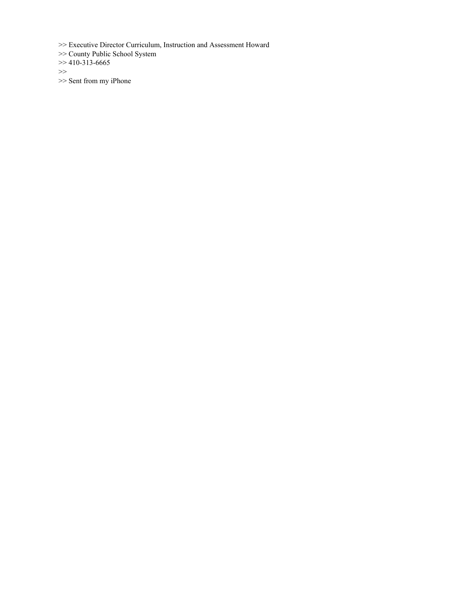>> Executive Director Curriculum, Instruction and Assessment Howard

>> County Public School System

 $\gg$  410-313-6665

>>

>> Sent from my iPhone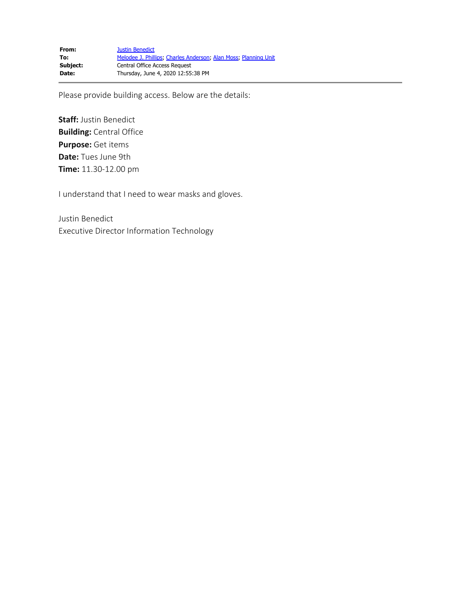Please provide building access. Below are the details:

**Staff:** Justin Benedict **Building:** Central Office **Purpose:** Get items **Date:** Tues June 9th **Time:** 11.30-12.00 pm

I understand that I need to wear masks and gloves.

Justin Benedict Executive Director Information Technology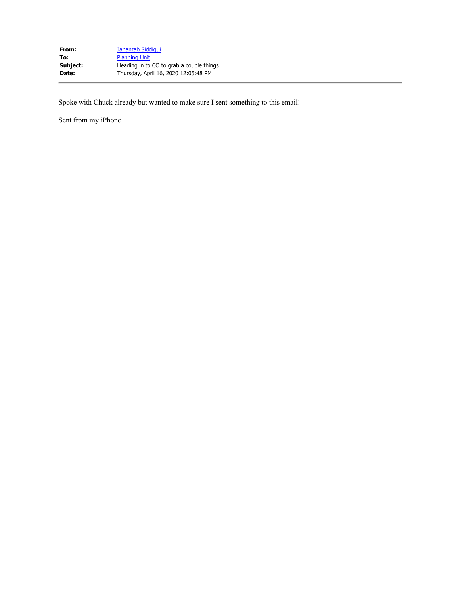| Jahantab Siddigui                        |
|------------------------------------------|
| <b>Planning Unit</b>                     |
| Heading in to CO to grab a couple things |
| Thursday, April 16, 2020 12:05:48 PM     |
|                                          |

Spoke with Chuck already but wanted to make sure I sent something to this email!

Sent from my iPhone